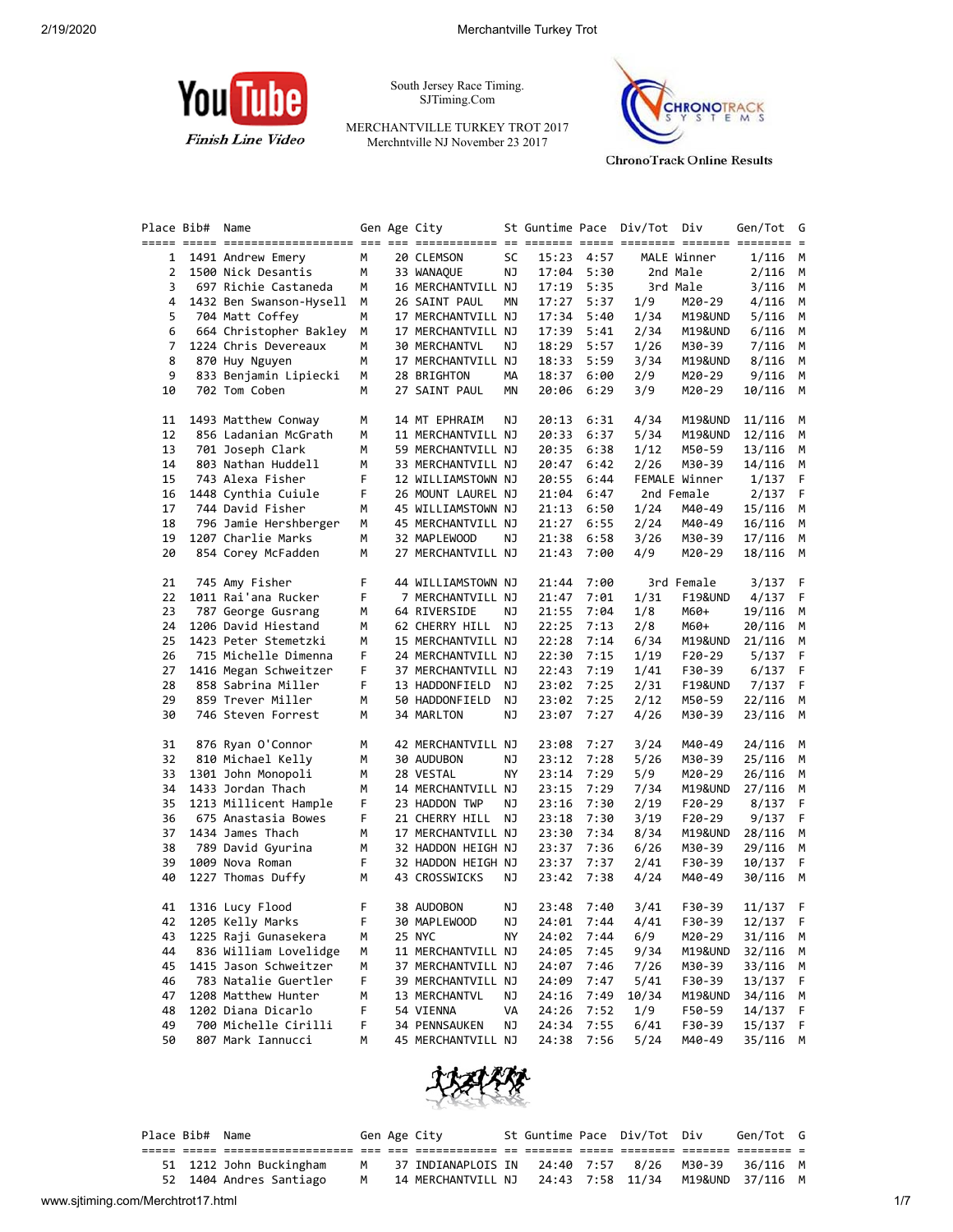

South Jersey Race Timing. SJTiming.Com

MERCHANTVILLE TURKEY TROT 2017 Merchntville NJ November 23 2017



**ChronoTrack Online Results** 

| Place Bib# | Name                    |    | Gen Age City       |    |       |            | St Guntime Pace Div/Tot Div |                    | Gen/Tot   | G   |
|------------|-------------------------|----|--------------------|----|-------|------------|-----------------------------|--------------------|-----------|-----|
|            |                         |    |                    |    |       |            |                             |                    |           |     |
| 1          | 1491 Andrew Emery       | м  | 20 CLEMSON         | SC |       | 15:23 4:57 |                             | MALE Winner        | 1/116     | M   |
| 2          | 1500 Nick Desantis      | м  | 33 WANAQUE         | ΝJ |       | 17:04 5:30 |                             | 2nd Male           | 2/116     | M   |
| 3          | 697 Richie Castaneda    | м  | 16 MERCHANTVILL NJ |    | 17:19 | 5:35       |                             | 3rd Male           | 3/116     | М   |
| 4          | 1432 Ben Swanson-Hysell | м  | 26 SAINT PAUL      | ΜN | 17:27 | 5:37       | 1/9                         | M20-29             | 4/116     | М   |
| 5          | 704 Matt Coffey         | м  | 17 MERCHANTVILL NJ |    | 17:34 | 5:40       | 1/34                        | M19&UND            | 5/116     | M   |
| 6          | 664 Christopher Bakley  | м  | 17 MERCHANTVILL NJ |    | 17:39 | 5:41       | 2/34                        | M19&UND            | 6/116     | M   |
| 7          | 1224 Chris Devereaux    | м  | 30 MERCHANTVL      | ΝJ | 18:29 | 5:57       | 1/26                        | M30-39             | 7/116     | М   |
| 8          | 870 Huy Nguyen          | м  | 17 MERCHANTVILL NJ |    | 18:33 | 5:59       | 3/34                        | M19&UND            | 8/116     | М   |
| 9          | 833 Benjamin Lipiecki   | М  | 28 BRIGHTON        | MА | 18:37 | 6:00       | 2/9                         | M20-29             | 9/116     | М   |
| 10         | 702 Tom Coben           | М  | 27 SAINT PAUL      | ΜN | 20:06 | 6:29       | 3/9                         | M20-29             | 10/116    | M   |
| 11         | 1493 Matthew Conway     | м  | 14 MT EPHRAIM      | ΝJ | 20:13 | 6:31       | 4/34                        | M19&UND            | 11/116    | M   |
| 12         | 856 Ladanian McGrath    | м  | 11 MERCHANTVILL NJ |    | 20:33 | 6:37       | 5/34                        | M19&UND            | 12/116    | M   |
| 13         | 701 Joseph Clark        | м  | 59 MERCHANTVILL NJ |    | 20:35 | 6:38       | 1/12                        | M50-59             | 13/116    | M   |
| 14         | 803 Nathan Huddell      | м  | 33 MERCHANTVILL NJ |    | 20:47 | 6:42       | 2/26                        | M30-39             | 14/116    | М   |
| 15         | 743 Alexa Fisher        | F  | 12 WILLIAMSTOWN NJ |    | 20:55 | 6:44       |                             | FEMALE Winner      | 1/137     | - F |
| 16         | 1448 Cynthia Cuiule     | F  | 26 MOUNT LAUREL NJ |    | 21:04 | 6:47       |                             | 2nd Female         | 2/137     | F   |
| 17         | 744 David Fisher        | м  | 45 WILLIAMSTOWN NJ |    | 21:13 | 6:50       | 1/24                        | M40-49             | 15/116    | M   |
| 18         | 796 Jamie Hershberger   | м  | 45 MERCHANTVILL NJ |    | 21:27 | 6:55       | 2/24                        | M40-49             | 16/116    | М   |
| 19         | 1207 Charlie Marks      | м  | 32 MAPLEWOOD       | ΝJ | 21:38 | 6:58       | 3/26                        | M30-39             | 17/116    | М   |
| 20         | 854 Corey McFadden      | м  | 27 MERCHANTVILL NJ |    | 21:43 | 7:00       | 4/9                         | M20-29             | 18/116 M  |     |
| 21         | 745 Amy Fisher          | F  | 44 WILLIAMSTOWN NJ |    | 21:44 | 7:00       |                             | 3rd Female         | 3/137 F   |     |
| 22         | 1011 Rai'ana Rucker     | F  | 7 MERCHANTVILL NJ  |    | 21:47 | 7:01       | 1/31                        | <b>F19&amp;UND</b> | 4/137     | -F  |
| 23         | 787 George Gusrang      | м  | 64 RIVERSIDE       | ΝJ | 21:55 | 7:04       | 1/8                         | M60+               | 19/116    | М   |
| 24         | 1206 David Hiestand     | м  | 62 CHERRY HILL NJ  |    | 22:25 | 7:13       | 2/8                         | M60+               | 20/116    | М   |
| 25         | 1423 Peter Stemetzki    | м  | 15 MERCHANTVILL NJ |    | 22:28 | 7:14       | 6/34                        | M19&UND            | 21/116    | M   |
| 26         | 715 Michelle Dimenna    | F  | 24 MERCHANTVILL NJ |    | 22:30 | 7:15       | 1/19                        | $F20-29$           | 5/137     | - F |
| 27         | 1416 Megan Schweitzer   | F  | 37 MERCHANTVILL NJ |    | 22:43 | 7:19       | 1/41                        | F30-39             | 6/137     | - F |
| 28         | 858 Sabrina Miller      | F  | 13 HADDONFIELD     | ΝJ | 23:02 | 7:25       | 2/31                        | F19&UND            | 7/137     | F.  |
| 29         | 859 Trever Miller       | м  | 50 HADDONFIELD     | ΝJ | 23:02 | 7:25       | 2/12                        | M50-59             | 22/116    | М   |
| 30         | 746 Steven Forrest      | м  | 34 MARLTON         | ΝJ | 23:07 | 7:27       | 4/26                        | M30-39             | 23/116    | M   |
| 31         | 876 Ryan O'Connor       | м  | 42 MERCHANTVILL NJ |    | 23:08 | 7:27       | 3/24                        | M40-49             | 24/116    | M   |
| 32         | 810 Michael Kelly       | м  | 30 AUDUBON         | ΝJ | 23:12 | 7:28       | 5/26                        | M30-39             | 25/116    | M   |
| 33         | 1301 John Monopoli      | М  | 28 VESTAL          | ΝY | 23:14 | 7:29       | 5/9                         | M20-29             | 26/116    | М   |
| 34         | 1433 Jordan Thach       | м  | 14 MERCHANTVILL NJ |    | 23:15 | 7:29       | 7/34                        | M19&UND            | 27/116    | M   |
| 35         | 1213 Millicent Hample   | F  | 23 HADDON TWP      | ΝJ | 23:16 | 7:30       | 2/19                        | F20-29             | $8/137$ F |     |
| 36         | 675 Anastasia Bowes     | F  | 21 CHERRY HILL NJ  |    | 23:18 | 7:30       | 3/19                        | $F20-29$           | 9/137     | F   |
| 37         | 1434 James Thach        | м  | 17 MERCHANTVILL NJ |    | 23:30 | 7:34       | 8/34                        | M19&UND            | 28/116    | М   |
| 38         | 789 David Gyurina       | М  | 32 HADDON HEIGH NJ |    | 23:37 | 7:36       | 6/26                        | M30-39             | 29/116    | M   |
| 39         | 1009 Nova Roman         | F  | 32 HADDON HEIGH NJ |    | 23:37 | 7:37       | 2/41                        | F30-39             | 10/137 F  |     |
| 40         | 1227 Thomas Duffy       | М  | 43 CROSSWICKS      | ΝJ | 23:42 | 7:38       | 4/24                        | M40-49             | 30/116    | M   |
|            |                         |    |                    |    |       |            |                             |                    |           |     |
|            | 41 1316 Lucy Flood      | F  | 38 AUDOBON         | ΝJ | 23:48 | 7:40       | 3/41                        | F30-39             | 11/137 F  |     |
|            | 42 1205 Kelly Marks     | F. | 30 MAPLEWOOD       | NJ |       | 24:01 7:44 | 4/41                        | F30-39             | 12/137    | F   |
| 43         | 1225 Raji Gunasekera    | м  | 25 NYC             | ΝY |       | 24:02 7:44 | 6/9                         | M20-29             | 31/116 M  |     |
| 44         | 836 William Lovelidge   | м  | 11 MERCHANTVILL NJ |    | 24:05 | 7:45       | 9/34                        | M19&UND            | 32/116    | M   |
| 45         | 1415 Jason Schweitzer   | м  | 37 MERCHANTVILL NJ |    | 24:07 | 7:46       | 7/26                        | M30-39             | 33/116    | M   |
| 46         | 783 Natalie Guertler    | F  | 39 MERCHANTVILL NJ |    | 24:09 | 7:47       | 5/41                        | F30-39             | 13/137 F  |     |
| 47         | 1208 Matthew Hunter     | м  | 13 MERCHANTVL      | ΝJ | 24:16 | 7:49       | 10/34                       | M19&UND            | 34/116    | M   |
| 48         | 1202 Diana Dicarlo      | F  | 54 VIENNA          | VA | 24:26 | 7:52       | 1/9                         | F50-59             | 14/137 F  |     |
| 49         | 700 Michelle Cirilli    | F  | 34 PENNSAUKEN      | ΝJ | 24:34 | 7:55       | 6/41                        | F30-39             | 15/137    | - F |
| 50         | 807 Mark Iannucci       | м  | 45 MERCHANTVILL NJ |    | 24:38 | 7:56       | 5/24                        | M40-49             | 35/116    | М   |



| Place Bib# Name |                         |                | Gen Age City                                         |  | St Guntime Pace Div/Tot Div | Gen/Tot G |  |
|-----------------|-------------------------|----------------|------------------------------------------------------|--|-----------------------------|-----------|--|
|                 |                         |                |                                                      |  |                             |           |  |
|                 | 51 1212 John Buckingham | M <sub>N</sub> |                                                      |  |                             | 36/116 M  |  |
|                 | 52 1404 Andres Santiago | M .            | 14 MERCHANTVILL NJ 24:43 7:58 11/34 M19&UND 37/116 M |  |                             |           |  |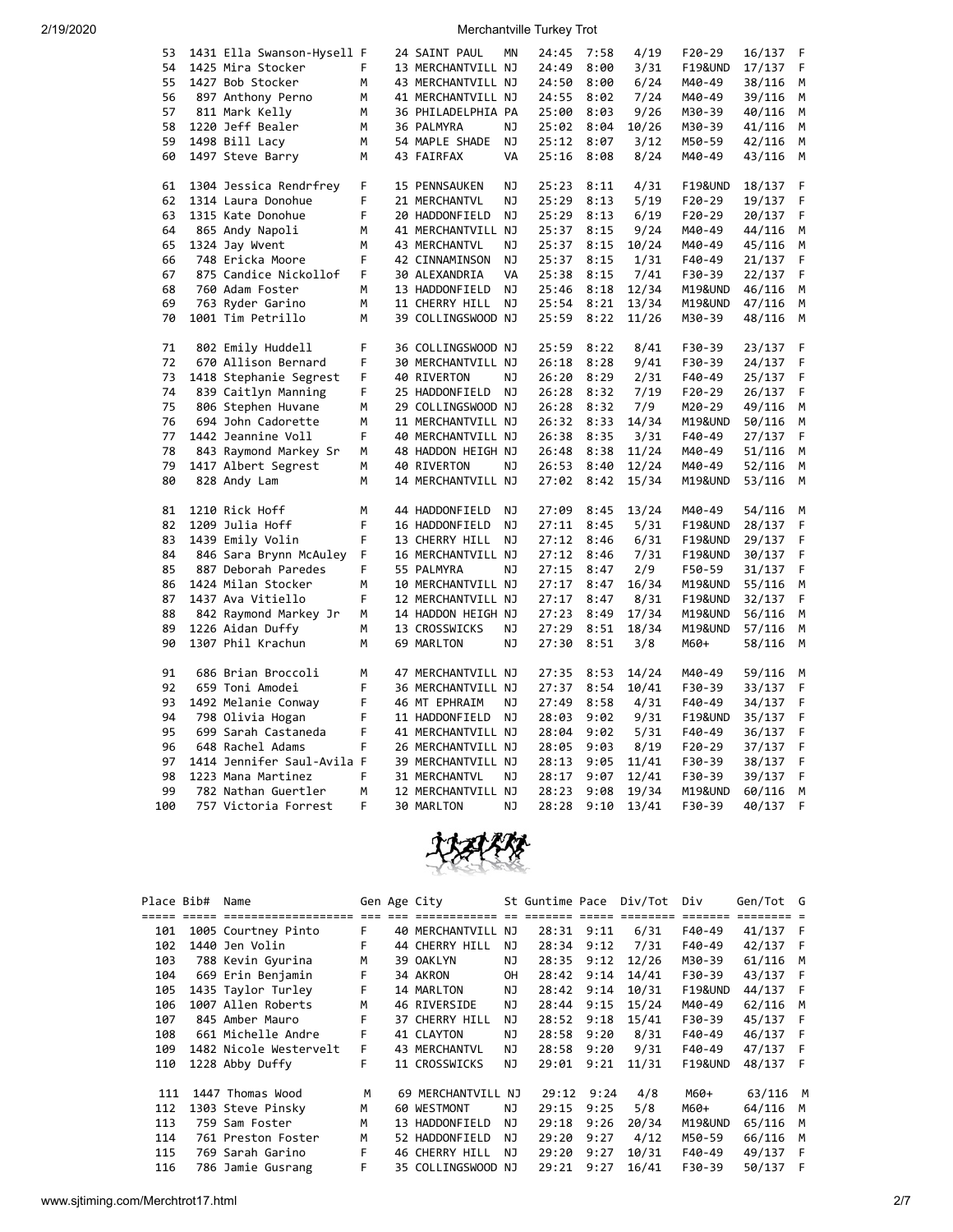| 53  | 1431 Ella Swanson-Hysell F |   | 24 SAINT PAUL      | MN | 24:45 | 7:58 | 4/19  | $F20-29$           | 16/137 | F |
|-----|----------------------------|---|--------------------|----|-------|------|-------|--------------------|--------|---|
| 54  | 1425 Mira Stocker          | F | 13 MERCHANTVILL NJ |    | 24:49 | 8:00 | 3/31  | <b>F19&amp;UND</b> | 17/137 | F |
| 55  | 1427 Bob Stocker           | M | 43 MERCHANTVILL NJ |    | 24:50 | 8:00 | 6/24  | M40-49             | 38/116 | M |
| 56  | 897 Anthony Perno          | М | 41 MERCHANTVILL NJ |    | 24:55 | 8:02 | 7/24  | M40-49             | 39/116 | М |
| 57  | 811 Mark Kelly             | м | 36 PHILADELPHIA PA |    | 25:00 | 8:03 | 9/26  | M30-39             | 40/116 | M |
| 58  | 1220 Jeff Bealer           | М | 36 PALMYRA         | ΝJ | 25:02 | 8:04 | 10/26 | M30-39             | 41/116 | М |
| 59  | 1498 Bill Lacy             | M | 54 MAPLE SHADE     | ΝJ | 25:12 | 8:07 | 3/12  | M50-59             | 42/116 | M |
| 60  | 1497 Steve Barry           | м | 43 FAIRFAX         | VA | 25:16 | 8:08 | 8/24  | M40-49             | 43/116 | M |
| 61  | 1304 Jessica Rendrfrey     | F | 15 PENNSAUKEN      | ΝJ | 25:23 | 8:11 | 4/31  | <b>F19&amp;UND</b> | 18/137 | F |
| 62  | 1314 Laura Donohue         | F | 21 MERCHANTVL      | ΝJ | 25:29 | 8:13 | 5/19  | $F20-29$           | 19/137 | F |
| 63  | 1315 Kate Donohue          | F | 20 HADDONFIELD     | NJ | 25:29 | 8:13 | 6/19  | $F20-29$           | 20/137 | F |
| 64  | 865 Andy Napoli            | м | 41 MERCHANTVILL NJ |    | 25:37 | 8:15 | 9/24  | M40-49             | 44/116 | M |
| 65  | 1324 Jay Wvent             | м | 43 MERCHANTVL      | ΝJ | 25:37 | 8:15 | 10/24 | M40-49             | 45/116 | M |
| 66  | 748 Ericka Moore           | F | 42 CINNAMINSON     | NJ | 25:37 | 8:15 | 1/31  | $F40-49$           | 21/137 | F |
| 67  | 875 Candice Nickollof      | F | 30 ALEXANDRIA      | VA | 25:38 | 8:15 | 7/41  | F30-39             | 22/137 | F |
| 68  | 760 Adam Foster            | М | 13 HADDONFIELD     | ΝJ | 25:46 | 8:18 | 12/34 | M19&UND            | 46/116 | М |
| 69  | 763 Ryder Garino           | M | 11 CHERRY HILL     | ΝJ | 25:54 | 8:21 | 13/34 | M19&UND            | 47/116 | M |
| 70  | 1001 Tim Petrillo          | М | 39 COLLINGSWOOD NJ |    | 25:59 | 8:22 | 11/26 | M30-39             | 48/116 | M |
|     |                            |   |                    |    |       |      |       |                    |        |   |
| 71  | 802 Emily Huddell          | F | 36 COLLINGSWOOD NJ |    | 25:59 | 8:22 | 8/41  | F30-39             | 23/137 | F |
| 72  | 670 Allison Bernard        | F | 30 MERCHANTVILL NJ |    | 26:18 | 8:28 | 9/41  | F30-39             | 24/137 | F |
| 73  | 1418 Stephanie Segrest     | F | 40 RIVERTON        | NJ | 26:20 | 8:29 | 2/31  | F40-49             | 25/137 | F |
| 74  | 839 Caitlyn Manning        | F | 25 HADDONFIELD     | ΝJ | 26:28 | 8:32 | 7/19  | $F20-29$           | 26/137 | F |
| 75  | 806 Stephen Huvane         | M | 29 COLLINGSWOOD NJ |    | 26:28 | 8:32 | 7/9   | M20-29             | 49/116 | M |
| 76  | 694 John Cadorette         | М | 11 MERCHANTVILL NJ |    | 26:32 | 8:33 | 14/34 | M19&UND            | 50/116 | M |
| 77  | 1442 Jeannine Voll         | F | 40 MERCHANTVILL NJ |    | 26:38 | 8:35 | 3/31  | F40-49             | 27/137 | F |
| 78  | 843 Raymond Markey Sr      | M | 48 HADDON HEIGH NJ |    | 26:48 | 8:38 | 11/24 | M40-49             | 51/116 | M |
| 79  | 1417 Albert Segrest        | М | 40 RIVERTON        | ΝJ | 26:53 | 8:40 | 12/24 | M40-49             | 52/116 | M |
| 80  | 828 Andy Lam               | М | 14 MERCHANTVILL NJ |    | 27:02 | 8:42 | 15/34 | M19&UND            | 53/116 | М |
| 81  | 1210 Rick Hoff             | м | 44 HADDONFIELD     | ΝJ | 27:09 | 8:45 | 13/24 | M40-49             | 54/116 | M |
| 82  | 1209 Julia Hoff            | F | 16 HADDONFIELD     | ΝJ | 27:11 | 8:45 | 5/31  | <b>F19&amp;UND</b> | 28/137 | F |
| 83  | 1439 Emily Volin           | F | 13 CHERRY HILL     | NJ | 27:12 | 8:46 | 6/31  | <b>F19&amp;UND</b> | 29/137 | F |
| 84  | 846 Sara Brynn McAuley     | F | 16 MERCHANTVILL NJ |    | 27:12 | 8:46 | 7/31  | <b>F19&amp;UND</b> | 30/137 | F |
| 85  | 887 Deborah Paredes        | F | 55 PALMYRA         | ΝJ | 27:15 | 8:47 | 2/9   | F50-59             | 31/137 | F |
| 86  | 1424 Milan Stocker         | м | 10 MERCHANTVILL NJ |    | 27:17 | 8:47 | 16/34 | M19&UND            | 55/116 | М |
| 87  | 1437 Ava Vitiello          | F | 12 MERCHANTVILL NJ |    | 27:17 | 8:47 | 8/31  | <b>F19&amp;UND</b> | 32/137 | F |
| 88  | 842 Raymond Markey Jr      | М | 14 HADDON HEIGH NJ |    | 27:23 | 8:49 | 17/34 | M19&UND            | 56/116 | M |
| 89  | 1226 Aidan Duffy           | м | 13 CROSSWICKS      | ΝJ | 27:29 | 8:51 | 18/34 | M19&UND            | 57/116 | М |
| 90  | 1307 Phil Krachun          | M | 69 MARLTON         | NJ | 27:30 | 8:51 | 3/8   | M60+               | 58/116 | M |
| 91  | 686 Brian Broccoli         | M | 47 MERCHANTVILL NJ |    | 27:35 | 8:53 | 14/24 | M40-49             | 59/116 | M |
| 92  | 659 Toni Amodei            | F | 36 MERCHANTVILL NJ |    | 27:37 | 8:54 | 10/41 | F30-39             | 33/137 | F |
| 93  | 1492 Melanie Conway        | F | 46 MT EPHRAIM      | ΝJ | 27:49 | 8:58 | 4/31  | F40-49             | 34/137 | F |
| 94  | 798 Olivia Hogan           | F | 11 HADDONFIELD     | ΝJ | 28:03 | 9:02 | 9/31  | <b>F19&amp;UND</b> | 35/137 | F |
| 95  | 699 Sarah Castaneda        | F | 41 MERCHANTVILL NJ |    | 28:04 | 9:02 | 5/31  | F40-49             | 36/137 | F |
| 96  | 648 Rachel Adams           | F | 26 MERCHANTVILL NJ |    | 28:05 | 9:03 | 8/19  | $F20-29$           | 37/137 | F |
| 97  | 1414 Jennifer Saul-Avila F |   | 39 MERCHANTVILL NJ |    | 28:13 | 9:05 | 11/41 | F30-39             | 38/137 | F |
| 98  | 1223 Mana Martinez         | F | 31 MERCHANTVL      | ΝJ | 28:17 | 9:07 | 12/41 | F30-39             | 39/137 | F |
| 99  | 782 Nathan Guertler        | M | 12 MERCHANTVILL NJ |    | 28:23 | 9:08 | 19/34 | M19&UND            | 60/116 | M |
| 100 | 757 Victoria Forrest       | F | 30 MARLTON         | ΝJ | 28:28 | 9:10 | 13/41 | F30-39             | 40/137 | F |
|     |                            |   |                    |    |       |      |       |                    |        |   |



| Place Bib# | Name                   |    | Gen Age City         |           | St Guntime Pace |            | Div/Tot | Div                | Gen/Tot G |     |
|------------|------------------------|----|----------------------|-----------|-----------------|------------|---------|--------------------|-----------|-----|
|            |                        |    |                      |           |                 | ---        |         |                    |           |     |
| 101        | 1005 Courtney Pinto    | F. | 40 MERCHANTVILL      | NJ        |                 | 28:31 9:11 | 6/31    | $F40-49$           | 41/137    | - F |
| 102        | 1440 Jen Volin         | F. | 44 CHERRY HILL       | ΝJ        | 28:34           | 9:12       | 7/31    | F40-49             | 42/137    | - F |
| 103        | 788 Kevin Gyurina      | M  | 39 OAKLYN            | NJ.       | 28:35           | 9:12       | 12/26   | M30-39             | 61/116    | M   |
| 104        | 669 Erin Benjamin      | F  | 34 AKRON             | <b>OH</b> | 28:42           | 9:14       | 14/41   | F30-39             | 43/137    | - F |
| 105        | 1435 Taylor Turley     | F. | 14 MARLTON           | NJ        | 28:42           | 9:14       | 10/31   | <b>F19&amp;UND</b> | 44/137    | - F |
| 106        | 1007 Allen Roberts     | M  | 46 RIVERSIDE         | ΝJ        | 28:44           | 9:15       | 15/24   | M40-49             | 62/116    | M   |
| 107        | 845 Amber Mauro        | F. | 37 CHERRY HILL       | NJ.       | 28:52           | 9:18       | 15/41   | F30-39             | 45/137    | - F |
| 108        | 661 Michelle Andre     | F. | 41 CLAYTON           | NJ.       | 28:58           | 9:20       | 8/31    | F40-49             | 46/137    | - F |
| 109        | 1482 Nicole Westervelt | F. | <b>43 MERCHANTVL</b> | NJ.       | 28:58           | 9:20       | 9/31    | F40-49             | 47/137    | - F |
| 110        | 1228 Abby Duffy        | F. | 11 CROSSWICKS        | NJ.       | 29:01           | 9:21       | 11/31   | <b>F19&amp;UND</b> | 48/137    | - F |
| 111        | 1447 Thomas Wood       | М  | 69 MERCHANTVILL NJ   |           | 29:12           | 9:24       | 4/8     | M60+               | 63/116    | M   |
| 112        | 1303 Steve Pinsky      | M  | 60 WESTMONT          | NJ.       | 29:15           | 9:25       | 5/8     | M60+               | 64/116    | M   |
| 113        | 759 Sam Foster         | M  | 13 HADDONFIELD       | NJ.       | 29:18           | 9:26       | 20/34   | <b>M19&amp;UND</b> | 65/116    | M   |
| 114        | 761 Preston Foster     | M  | 52 HADDONFIELD       | NJ        | 29:20           | 9:27       | 4/12    | M50-59             | 66/116    | M   |
| 115        | 769 Sarah Garino       | F. | 46 CHERRY HILL       | NJ.       | 29:20           | 9:27       | 10/31   | F40-49             | 49/137    | -F  |
| 116        | 786 Jamie Gusrang      | F  | 35 COLLINGSWOOD NJ   |           | 29:21           | 9:27       | 16/41   | F30-39             | 50/137    | -F  |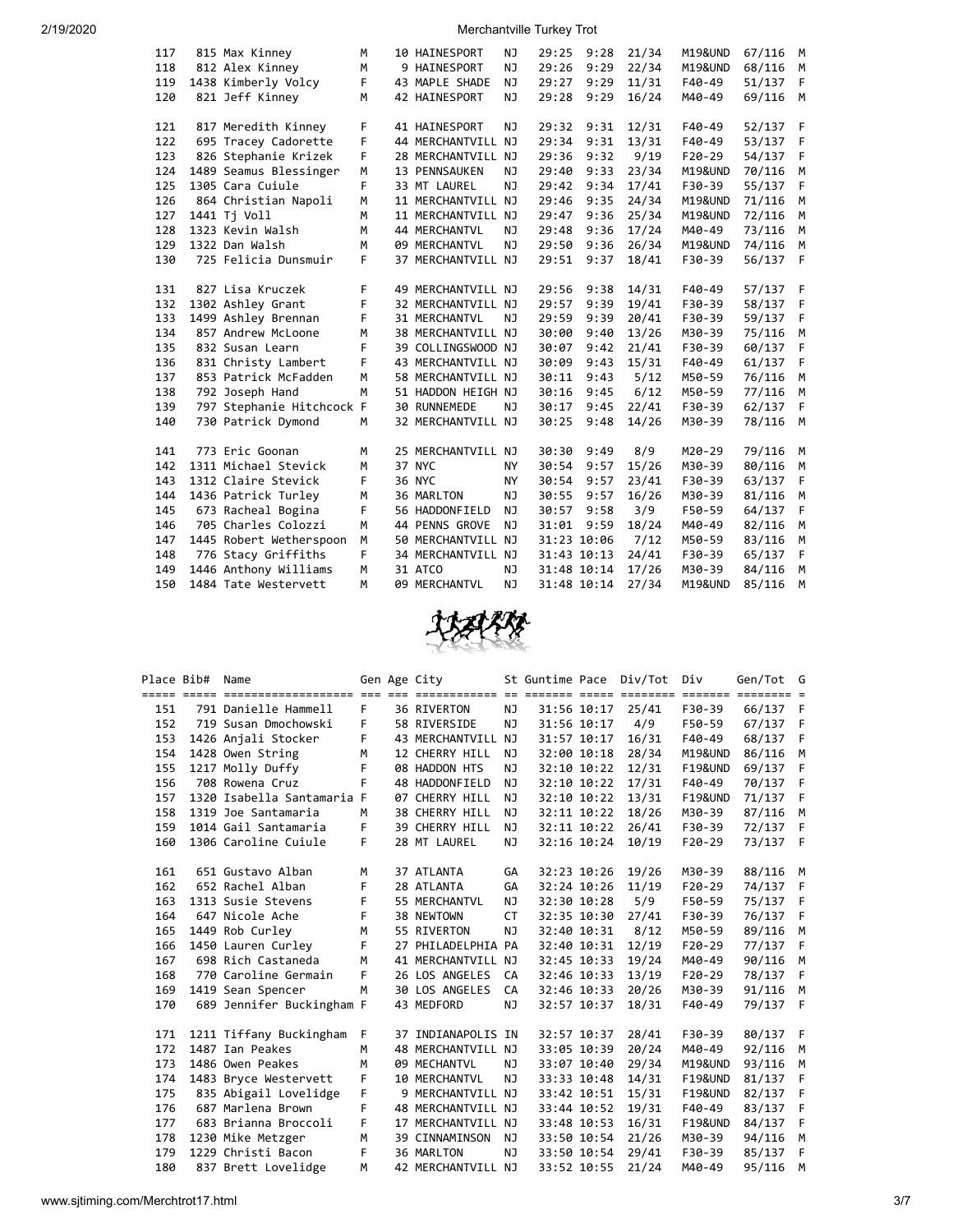| 117 | 815 Max Kinney            | M  | 10 HAINESPORT        | NJ        | 29:25       | 9:28 | 21/34 | M19&UND  | 67/116 | M            |
|-----|---------------------------|----|----------------------|-----------|-------------|------|-------|----------|--------|--------------|
| 118 | 812 Alex Kinney           | M  | 9 HAINESPORT         | ΝJ        | 29:26       | 9:29 | 22/34 | M19&UND  | 68/116 | M            |
| 119 | 1438 Kimberly Volcy       | F  | 43 MAPLE SHADE       | NJ        | 29:27       | 9:29 | 11/31 | $F40-49$ | 51/137 | F            |
| 120 | 821 Jeff Kinney           | M  | <b>42 HAINESPORT</b> | NJ        | 29:28       | 9:29 | 16/24 | M40-49   | 69/116 | M            |
|     |                           |    |                      |           |             |      |       |          |        |              |
| 121 | 817 Meredith Kinney       | F  | 41 HAINESPORT        | ΝJ        | 29:32       | 9:31 | 12/31 | $F40-49$ | 52/137 | - F          |
| 122 | 695 Tracey Cadorette      | F  | 44 MERCHANTVILL NJ   |           | 29:34       | 9:31 | 13/31 | $F40-49$ | 53/137 | $\mathsf{F}$ |
| 123 | 826 Stephanie Krizek      | F  | 28 MERCHANTVILL NJ   |           | 29:36       | 9:32 | 9/19  | $F20-29$ | 54/137 | F            |
| 124 | 1489 Seamus Blessinger    | M  | 13 PENNSAUKEN        | NJ        | 29:40       | 9:33 | 23/34 | M19&UND  | 70/116 | M            |
| 125 | 1305 Cara Cuiule          | F  | 33 MT LAUREL         | NJ        | 29:42       | 9:34 | 17/41 | F30-39   | 55/137 | F            |
| 126 | 864 Christian Napoli      | M  | 11 MERCHANTVILL NJ   |           | 29:46       | 9:35 | 24/34 | M19&UND  | 71/116 | M            |
| 127 | 1441 Tj Voll              | M  | 11 MERCHANTVILL NJ   |           | 29:47       | 9:36 | 25/34 | M19&UND  | 72/116 | M            |
| 128 | 1323 Kevin Walsh          | M  | 44 MERCHANTVL        | NJ        | 29:48       | 9:36 | 17/24 | M40-49   | 73/116 | M            |
| 129 | 1322 Dan Walsh            | M  | 09 MERCHANTVL        | NJ        | 29:50       | 9:36 | 26/34 | M19&UND  | 74/116 | M            |
| 130 | 725 Felicia Dunsmuir      | F  | 37 MERCHANTVILL NJ   |           | 29:51       | 9:37 | 18/41 | F30-39   | 56/137 | $\mathsf{F}$ |
|     |                           |    |                      |           |             |      |       |          |        |              |
| 131 | 827 Lisa Kruczek          | F  | 49 MERCHANTVILL NJ   |           | 29:56       | 9:38 | 14/31 | F40-49   | 57/137 | - F          |
| 132 | 1302 Ashley Grant         | F  | 32 MERCHANTVILL NJ   |           | 29:57       | 9:39 | 19/41 | F30-39   | 58/137 | $\mathsf{F}$ |
| 133 | 1499 Ashley Brennan       | F  | 31 MERCHANTVL        | NJ        | 29:59       | 9:39 | 20/41 | F30-39   | 59/137 | F            |
| 134 | 857 Andrew McLoone        | M  | 38 MERCHANTVILL NJ   |           | 30:00       | 9:40 | 13/26 | M30-39   | 75/116 | M            |
| 135 | 832 Susan Learn           | F  | 39 COLLINGSWOOD NJ   |           | 30:07       | 9:42 | 21/41 | F30-39   | 60/137 | F            |
| 136 | 831 Christy Lambert       | F  | 43 MERCHANTVILL NJ   |           | 30:09       | 9:43 | 15/31 | $F40-49$ | 61/137 | F            |
| 137 | 853 Patrick McFadden      | M  | 58 MERCHANTVILL NJ   |           | 30:11       | 9:43 | 5/12  | M50-59   | 76/116 | M            |
| 138 | 792 Joseph Hand           | M  | 51 HADDON HEIGH NJ   |           | 30:16       | 9:45 | 6/12  | M50-59   | 77/116 | M            |
| 139 | 797 Stephanie Hitchcock F |    | 30 RUNNEMEDE         | NJ        | 30:17       | 9:45 | 22/41 | F30-39   | 62/137 | F            |
| 140 | 730 Patrick Dymond        | М  | 32 MERCHANTVILL NJ   |           | 30:25       | 9:48 | 14/26 | M30-39   | 78/116 | M            |
|     |                           |    |                      |           |             |      |       |          |        |              |
| 141 | 773 Eric Goonan           | M  | 25 MERCHANTVILL NJ   |           | 30:30       | 9:49 | 8/9   | M20-29   | 79/116 | M            |
| 142 | 1311 Michael Stevick      | M  | 37 NYC               | ΝY        | 30:54       | 9:57 | 15/26 | M30-39   | 80/116 | M            |
| 143 | 1312 Claire Stevick       | F  | 36 NYC               | <b>NY</b> | 30:54       | 9:57 | 23/41 | F30-39   | 63/137 | F            |
| 144 | 1436 Patrick Turley       | M  | 36 MARLTON           | NJ.       | 30:55       | 9:57 | 16/26 | M30-39   | 81/116 | M            |
| 145 | 673 Racheal Bogina        | F  | 56 HADDONFIELD       | NJ        | 30:57       | 9:58 | 3/9   | F50-59   | 64/137 | F            |
| 146 | 705 Charles Colozzi       | M  | 44 PENNS GROVE       | NJ        | 31:01       | 9:59 | 18/24 | M40-49   | 82/116 | M            |
| 147 | 1445 Robert Wetherspoon   | M  | 50 MERCHANTVILL NJ   |           | 31:23 10:06 |      | 7/12  | M50-59   | 83/116 | M            |
| 148 | 776 Stacy Griffiths       | F. | 34 MERCHANTVILL NJ   |           | 31:43 10:13 |      | 24/41 | F30-39   | 65/137 | F            |
| 149 | 1446 Anthony Williams     | M  | 31 ATCO              | NJ        | 31:48 10:14 |      | 17/26 | M30-39   | 84/116 | M            |
| 150 | 1484 Tate Westervett      | M  | 09 MERCHANTVL        | <b>NJ</b> | 31:48 10:14 |      | 27/34 | M19&UND  | 85/116 | M            |
|     |                           |    |                      |           |             |      |       |          |        |              |



| Place Bib# | Name                                                                                              |     | Gen Age City         |           | St Guntime Pace |             | Div/Tot | Div                | Gen/Tot G |   |
|------------|---------------------------------------------------------------------------------------------------|-----|----------------------|-----------|-----------------|-------------|---------|--------------------|-----------|---|
|            | <u>soos aada aanaanaanaanaanaa oo oo aadaanaanaa oo aanaan aada aanaan aanaan aanaan aanaan s</u> |     |                      |           |                 |             |         |                    |           |   |
| 151        | 791 Danielle Hammell                                                                              | F.  | 36 RIVERTON          | <b>NJ</b> |                 | 31:56 10:17 | 25/41   | F30-39             | 66/137 F  |   |
| 152        | 719 Susan Dmochowski                                                                              | F.  | 58 RIVERSIDE         | <b>NJ</b> | 31:56 10:17     |             | 4/9     | F50-59             | 67/137 F  |   |
| 153        | 1426 Anjali Stocker                                                                               | F.  | 43 MERCHANTVILL NJ   |           |                 | 31:57 10:17 | 16/31   | F40-49             | 68/137 F  |   |
| 154        | 1428 Owen String                                                                                  | М   | 12 CHERRY HILL       | NJ        | 32:00 10:18     |             | 28/34   | M19&UND            | 86/116    | M |
| 155        | 1217 Molly Duffy                                                                                  | F   | 08 HADDON HTS        | NJ        | 32:10 10:22     |             | 12/31   | F19&UND            | 69/137 F  |   |
| 156        | 708 Rowena Cruz                                                                                   | F   | 48 HADDONFIELD       | NJ.       | 32:10 10:22     |             | 17/31   | F40-49             | 70/137 F  |   |
| 157        | 1320 Isabella Santamaria F                                                                        |     | 07 CHERRY HILL       | NJ.       |                 | 32:10 10:22 | 13/31   | <b>F19&amp;UND</b> | 71/137 F  |   |
| 158        | 1319 Joe Santamaria                                                                               | M   | 38 CHERRY HILL       | <b>NJ</b> |                 | 32:11 10:22 | 18/26   | M30-39             | 87/116    | M |
| 159        | 1014 Gail Santamaria                                                                              | F.  | 39 CHERRY HILL       | NJ        |                 | 32:11 10:22 | 26/41   | F30-39             | 72/137 F  |   |
| 160        | 1306 Caroline Cuiule                                                                              | F.  | 28 MT LAUREL         | ΝJ        |                 | 32:16 10:24 | 10/19   | $F20-29$           | 73/137 F  |   |
|            |                                                                                                   |     |                      |           |                 |             |         |                    |           |   |
| 161        | 651 Gustavo Alban                                                                                 | M   | 37 ATLANTA           | GA        | 32:23 10:26     |             | 19/26   | M30-39             | 88/116 M  |   |
| 162        | 652 Rachel Alban                                                                                  | F   | 28 ATLANTA           | GA        | 32:24 10:26     |             | 11/19   | $F20-29$           | 74/137 F  |   |
| 163        | 1313 Susie Stevens                                                                                | F   | 55 MERCHANTVL        | <b>NJ</b> |                 | 32:30 10:28 | 5/9     | F50-59             | 75/137 F  |   |
| 164        | 647 Nicole Ache                                                                                   | F   | 38 NEWTOWN           | <b>CT</b> |                 | 32:35 10:30 | 27/41   | F30-39             | 76/137 F  |   |
| 165        | 1449 Rob Curley                                                                                   | M   | 55 RIVERTON          | NJ        | 32:40 10:31     |             | 8/12    | M50-59             | 89/116 M  |   |
| 166        | 1450 Lauren Curley                                                                                | F   | 27 PHILADELPHIA PA   |           | 32:40 10:31     |             | 12/19   | $F20-29$           | 77/137 F  |   |
| 167        | 698 Rich Castaneda                                                                                | M   | 41 MERCHANTVILL NJ   |           | 32:45 10:33     |             | 19/24   | M40-49             | 90/116 M  |   |
| 168        | 770 Caroline Germain                                                                              | F.  | 26 LOS ANGELES       | CA        | 32:46 10:33     |             | 13/19   | $F20-29$           | 78/137 F  |   |
| 169        | 1419 Sean Spencer                                                                                 | M   | 30 LOS ANGELES       | CA        | 32:46 10:33     |             | 20/26   | M30-39             | 91/116    | M |
| 170        | 689 Jennifer Buckingham F                                                                         |     | 43 MEDFORD           | NJ        |                 | 32:57 10:37 | 18/31   | F40-49             | 79/137 F  |   |
|            |                                                                                                   |     |                      |           |                 |             |         |                    |           |   |
| 171        | 1211 Tiffany Buckingham                                                                           | - F | 37 INDIANAPOLIS IN   |           | 32:57 10:37     |             | 28/41   | F30-39             | 80/137 F  |   |
| 172        | 1487 Ian Peakes                                                                                   | M   | 48 MERCHANTVILL NJ   |           | 33:05 10:39     |             | 20/24   | M40-49             | 92/116 M  |   |
| 173        | 1486 Owen Peakes                                                                                  | M   | 09 MECHANTVL         | <b>NJ</b> | 33:07 10:40     |             | 29/34   | M19&UND            | 93/116    | M |
| 174        | 1483 Bryce Westervett                                                                             | F   | <b>10 MERCHANTVL</b> | NJ        | 33:33 10:48     |             | 14/31   | <b>F19&amp;UND</b> | 81/137 F  |   |
| 175        | 835 Abigail Lovelidge                                                                             | F   | 9 MERCHANTVILL NJ    |           | 33:42 10:51     |             | 15/31   | <b>F19&amp;UND</b> | 82/137 F  |   |
| 176        | 687 Marlena Brown                                                                                 | F   | 48 MERCHANTVILL NJ   |           | 33:44 10:52     |             | 19/31   | F40-49             | 83/137 F  |   |
| 177        | 683 Brianna Broccoli                                                                              | F.  | 17 MERCHANTVILL NJ   |           | 33:48 10:53     |             | 16/31   | <b>F19&amp;UND</b> | 84/137 F  |   |
| 178        | 1230 Mike Metzger                                                                                 | M   | 39 CINNAMINSON       | NJ        |                 | 33:50 10:54 | 21/26   | M30-39             | 94/116    | M |
| 179        | 1229 Christi Bacon                                                                                | F   | 36 MARLTON           | NJ        |                 | 33:50 10:54 | 29/41   | F30-39             | 85/137 F  |   |
| 180        | 837 Brett Lovelidge                                                                               | M   | 42 MERCHANTVILL NJ   |           |                 | 33:52 10:55 | 21/24   | M40-49             | 95/116    | M |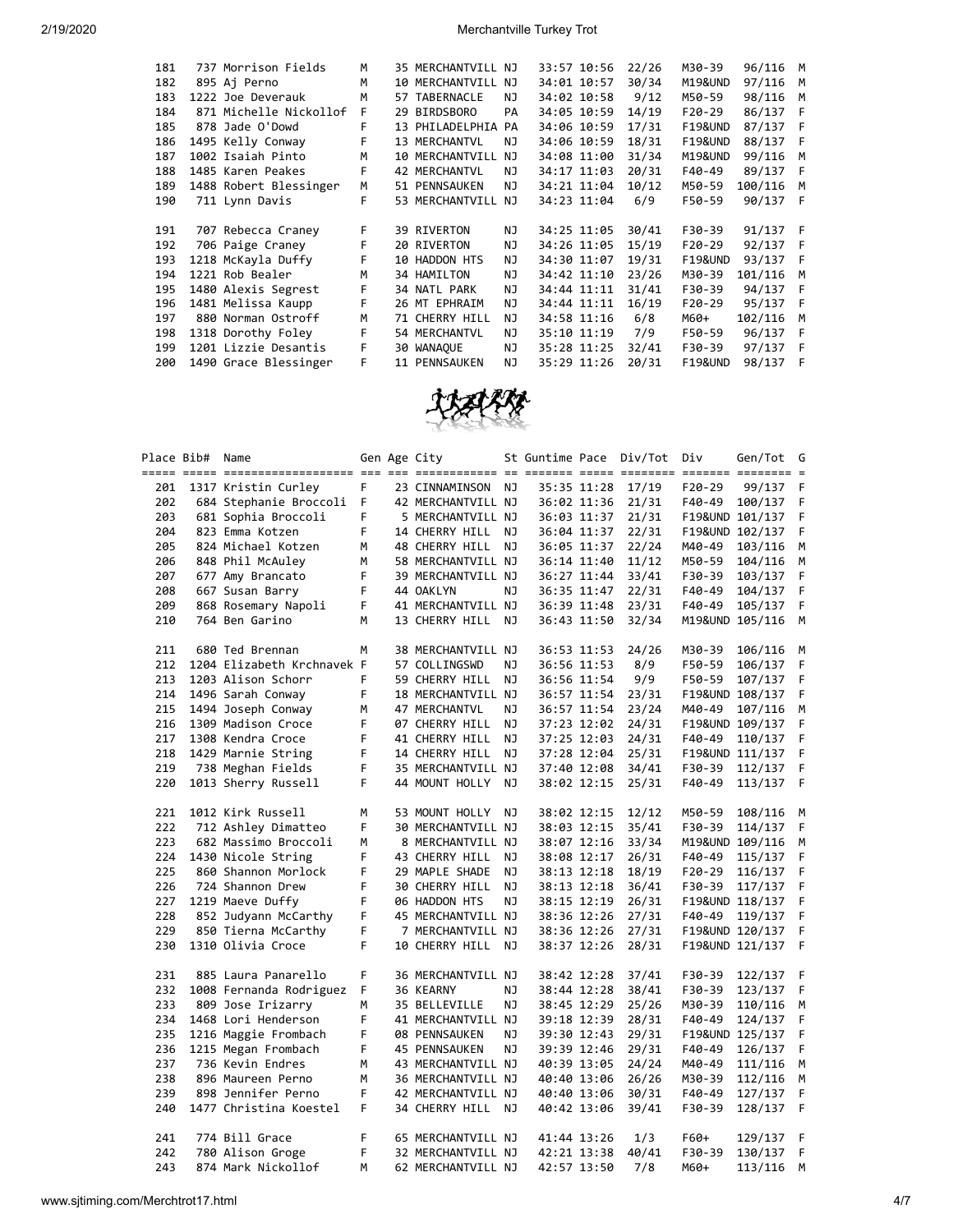| 181 | 737 Morrison Fields    | M  | 35 MERCHANTVILL NJ   |     | 33:57 10:56 | 22/26 | M30-39             | 96/116   | M   |
|-----|------------------------|----|----------------------|-----|-------------|-------|--------------------|----------|-----|
| 182 | 895 Aj Perno           | M  | 10 MERCHANTVILL NJ   |     | 34:01 10:57 | 30/34 | M19&UND            | 97/116   | M   |
| 183 | 1222 Joe Deverauk      | м  | 57 TABERNACLE        | ΝJ  | 34:02 10:58 | 9/12  | M50-59             | 98/116   | M   |
| 184 | 871 Michelle Nickollof | F  | 29 BIRDSBORO         | PA  | 34:05 10:59 | 14/19 | $F20-29$           | 86/137 F |     |
| 185 | 878 Jade O'Dowd        | F. | 13 PHILADELPHIA PA   |     | 34:06 10:59 | 17/31 | <b>F19&amp;UND</b> | 87/137 F |     |
| 186 | 1495 Kelly Conway      | F  | 13 MERCHANTVL        | ΝJ  | 34:06 10:59 | 18/31 | <b>F19&amp;UND</b> | 88/137 F |     |
| 187 | 1002 Isaiah Pinto      | M  | 10 MERCHANTVILL      | NJ. | 34:08 11:00 | 31/34 | M19&UND            | 99/116   | M   |
| 188 | 1485 Karen Peakes      | F  | <b>42 MERCHANTVL</b> | ΝJ  | 34:17 11:03 | 20/31 | F40-49             | 89/137   | - F |
| 189 | 1488 Robert Blessinger | M  | 51 PENNSAUKEN        | ΝJ  | 34:21 11:04 | 10/12 | M50-59             | 100/116  | M   |
| 190 | 711 Lynn Davis         | F  | 53 MERCHANTVILL NJ   |     | 34:23 11:04 | 6/9   | F50-59             | 90/137 F |     |
|     |                        |    |                      |     |             |       |                    |          |     |
| 191 | 707 Rebecca Craney     | F  | 39 RIVERTON          | NJ. | 34:25 11:05 | 30/41 | F30-39             | 91/137 F |     |
| 192 | 706 Paige Craney       | F  | 20 RIVERTON          | NJ  | 34:26 11:05 | 15/19 | $F20-29$           | 92/137 F |     |
| 193 | 1218 McKayla Duffy     | F  | 10 HADDON HTS        | ΝJ  | 34:30 11:07 | 19/31 | <b>F19&amp;UND</b> | 93/137 F |     |
| 194 | 1221 Rob Bealer        | M  | 34 HAMILTON          | NJ  | 34:42 11:10 | 23/26 | M30-39             | 101/116  | M   |
| 195 | 1480 Alexis Segrest    | F  | 34 NATL PARK         | NJ. | 34:44 11:11 | 31/41 | F30-39             | 94/137   | - F |
| 196 | 1481 Melissa Kaupp     | F  | 26 MT EPHRAIM        | ΝJ  | 34:44 11:11 | 16/19 | $F20-29$           | 95/137 F |     |
| 197 | 880 Norman Ostroff     | M  | 71 CHERRY HILL       | ΝJ  | 34:58 11:16 | 6/8   | M60+               | 102/116  | M   |
| 198 | 1318 Dorothy Foley     | F  | 54 MERCHANTVL        | ΝJ  | 35:10 11:19 | 7/9   | F50-59             | 96/137 F |     |
| 199 | 1201 Lizzie Desantis   | F  | 30 WANAQUE           | NJ. | 35:28 11:25 |       | F30-39             | 97/137   | - F |
|     |                        |    |                      |     |             | 32/41 |                    |          |     |
| 200 | 1490 Grace Blessinger  | F  | 11 PENNSAUKEN        | ΝJ  | 35:29 11:26 | 20/31 | <b>F19&amp;UND</b> | 98/137   | - F |



| Place Bib# | Name                       |    | Gen Age City       |     | St Guntime Pace |             | Div/Tot           | Div      | Gen/Tot         | G   |
|------------|----------------------------|----|--------------------|-----|-----------------|-------------|-------------------|----------|-----------------|-----|
|            |                            |    |                    |     |                 |             |                   |          |                 |     |
| 201        | 1317 Kristin Curley        | F  | 23 CINNAMINSON NJ  |     |                 | 35:35 11:28 | 17/19             | $F20-29$ | 99/137          | F   |
| 202        | 684 Stephanie Broccoli     | F  | 42 MERCHANTVILL NJ |     |                 | 36:02 11:36 | 21/31             | F40-49   | 100/137         | F   |
| 203        | 681 Sophia Broccoli        | F  | 5 MERCHANTVILL NJ  |     |                 | 36:03 11:37 | 21/31             |          | F19&UND 101/137 | F   |
| 204        | 823 Emma Kotzen            | F  | 14 CHERRY HILL NJ  |     |                 |             | 36:04 11:37 22/31 |          | F19&UND 102/137 | F   |
| 205        | 824 Michael Kotzen         | м  | 48 CHERRY HILL NJ  |     |                 |             | 36:05 11:37 22/24 | M40-49   | 103/116         | М   |
| 206        | 848 Phil McAuley           | м  | 58 MERCHANTVILL NJ |     |                 | 36:14 11:40 | 11/12             | M50-59   | 104/116         | M   |
| 207        | 677 Amy Brancato           | F  | 39 MERCHANTVILL NJ |     |                 | 36:27 11:44 | 33/41             | F30-39   | 103/137         | F   |
| 208        | 667 Susan Barry            | F  | 44 OAKLYN          | NJ. |                 | 36:35 11:47 | 22/31             | F40-49   | 104/137         | F   |
| 209        | 868 Rosemary Napoli        | F  | 41 MERCHANTVILL NJ |     |                 | 36:39 11:48 | 23/31             | F40-49   | 105/137         | F   |
| 210        | 764 Ben Garino             | м  | 13 CHERRY HILL NJ  |     |                 | 36:43 11:50 | 32/34             |          | M19&UND 105/116 | М   |
| 211        | 680 Ted Brennan            | м  | 38 MERCHANTVILL NJ |     |                 | 36:53 11:53 | 24/26             | M30-39   | 106/116         | M   |
| 212        | 1204 Elizabeth Krchnavek F |    | 57 COLLINGSWD      | ΝJ  |                 | 36:56 11:53 | 8/9               | F50-59   | 106/137         | F   |
| 213        | 1203 Alison Schorr         | F. | 59 CHERRY HILL     | NJ  |                 | 36:56 11:54 | 9/9               | F50-59   | 107/137         | F   |
| 214        | 1496 Sarah Conway          | F. | 18 MERCHANTVILL NJ |     |                 | 36:57 11:54 | 23/31             |          | F19&UND 108/137 | F.  |
| 215        | 1494 Joseph Conway         | M  | 47 MERCHANTVL      | NJ  |                 | 36:57 11:54 | 23/24             | M40-49   | 107/116         | M   |
| 216        | 1309 Madison Croce         | F  | 07 CHERRY HILL     | NJ  |                 | 37:23 12:02 | 24/31             |          | F19&UND 109/137 | F   |
| 217        | 1308 Kendra Croce          | F  | 41 CHERRY HILL     | ΝJ  |                 | 37:25 12:03 | 24/31             | F40-49   | 110/137         | F   |
| 218        | 1429 Marnie String         | F  | 14 CHERRY HILL     | NJ  |                 | 37:28 12:04 | 25/31             |          | F19&UND 111/137 | F   |
| 219        | 738 Meghan Fields          | F  | 35 MERCHANTVILL NJ |     |                 | 37:40 12:08 | 34/41             | F30-39   | 112/137         | F   |
| 220        | 1013 Sherry Russell        | F  | 44 MOUNT HOLLY NJ  |     |                 | 38:02 12:15 | 25/31             | F40-49   | 113/137         | - F |
| 221        | 1012 Kirk Russell          | м  | 53 MOUNT HOLLY NJ  |     |                 | 38:02 12:15 | 12/12             | M50-59   | 108/116         | М   |
| 222        | 712 Ashley Dimatteo        | F  | 30 MERCHANTVILL NJ |     |                 | 38:03 12:15 | 35/41             | F30-39   | 114/137         | F   |
| 223        | 682 Massimo Broccoli       | М  | 8 MERCHANTVILL NJ  |     |                 | 38:07 12:16 | 33/34             |          | M19&UND 109/116 | M   |
|            | 224 1430 Nicole String     | F  | 43 CHERRY HILL     | ΝJ  |                 | 38:08 12:17 | 26/31             | F40-49   | 115/137         | F   |
| 225        | 860 Shannon Morlock        | F  | 29 MAPLE SHADE     | NJ  |                 | 38:13 12:18 | 18/19             | F20-29   | 116/137         | F   |
| 226        | 724 Shannon Drew           | F  | 30 CHERRY HILL     | NJ  |                 | 38:13 12:18 | 36/41             | F30-39   | 117/137         | F   |
| 227        | 1219 Maeve Duffy           | F  | 06 HADDON HTS      | NJ  |                 | 38:15 12:19 | 26/31             |          | F19&UND 118/137 | F   |
| 228        | 852 Judyann McCarthy       | F  | 45 MERCHANTVILL NJ |     |                 | 38:36 12:26 | 27/31             |          | F40-49 119/137  | F   |
| 229        | 850 Tierna McCarthy        | F  | 7 MERCHANTVILL NJ  |     |                 | 38:36 12:26 | 27/31             |          | F19&UND 120/137 | F   |
| 230        | 1310 Olivia Croce          | F  | 10 CHERRY HILL NJ  |     |                 | 38:37 12:26 | 28/31             |          | F19&UND 121/137 | F   |
| 231        | 885 Laura Panarello        | F  | 36 MERCHANTVILL NJ |     |                 | 38:42 12:28 | 37/41             | F30-39   | 122/137 F       |     |
| 232        | 1008 Fernanda Rodriguez    | F  | 36 KEARNY          | NJ  |                 | 38:44 12:28 | 38/41             | F30-39   | 123/137         | F   |
| 233        | 809 Jose Irizarry          | М  | 35 BELLEVILLE      | NJ  |                 | 38:45 12:29 | 25/26             | M30-39   | 110/116         | М   |
| 234        | 1468 Lori Henderson        | F  | 41 MERCHANTVILL NJ |     |                 | 39:18 12:39 | 28/31             | F40-49   | 124/137         | F   |
| 235        | 1216 Maggie Frombach       | F  | 08 PENNSAUKEN      | NJ  |                 | 39:30 12:43 | 29/31             |          | F19&UND 125/137 | F   |
| 236        | 1215 Megan Frombach        | F  | 45 PENNSAUKEN      | NJ  |                 | 39:39 12:46 | 29/31             | F40-49   | 126/137         | F   |
| 237        | 736 Kevin Endres           | м  | 43 MERCHANTVILL NJ |     |                 | 40:39 13:05 | 24/24             | M40-49   | 111/116         | M   |
| 238        | 896 Maureen Perno          | М  | 36 MERCHANTVILL NJ |     |                 | 40:40 13:06 | 26/26             | M30-39   | 112/116         | М   |
| 239        | 898 Jennifer Perno         | F  | 42 MERCHANTVILL NJ |     |                 | 40:40 13:06 | 30/31             | F40-49   | 127/137         | -F  |
| 240        | 1477 Christina Koestel     | F. | 34 CHERRY HILL NJ  |     |                 | 40:42 13:06 | 39/41             | F30-39   | 128/137         | - F |
| 241        | 774 Bill Grace             | F  | 65 MERCHANTVILL NJ |     |                 | 41:44 13:26 | 1/3               | F60+     | 129/137         | - F |
| 242        | 780 Alison Groge           | F  | 32 MERCHANTVILL NJ |     |                 | 42:21 13:38 | 40/41             | F30-39   | 130/137         | F   |
| 243        | 874 Mark Nickollof         | м  | 62 MERCHANTVILL NJ |     |                 | 42:57 13:50 | 7/8               | M60+     | 113/116         | M   |
|            |                            |    |                    |     |                 |             |                   |          |                 |     |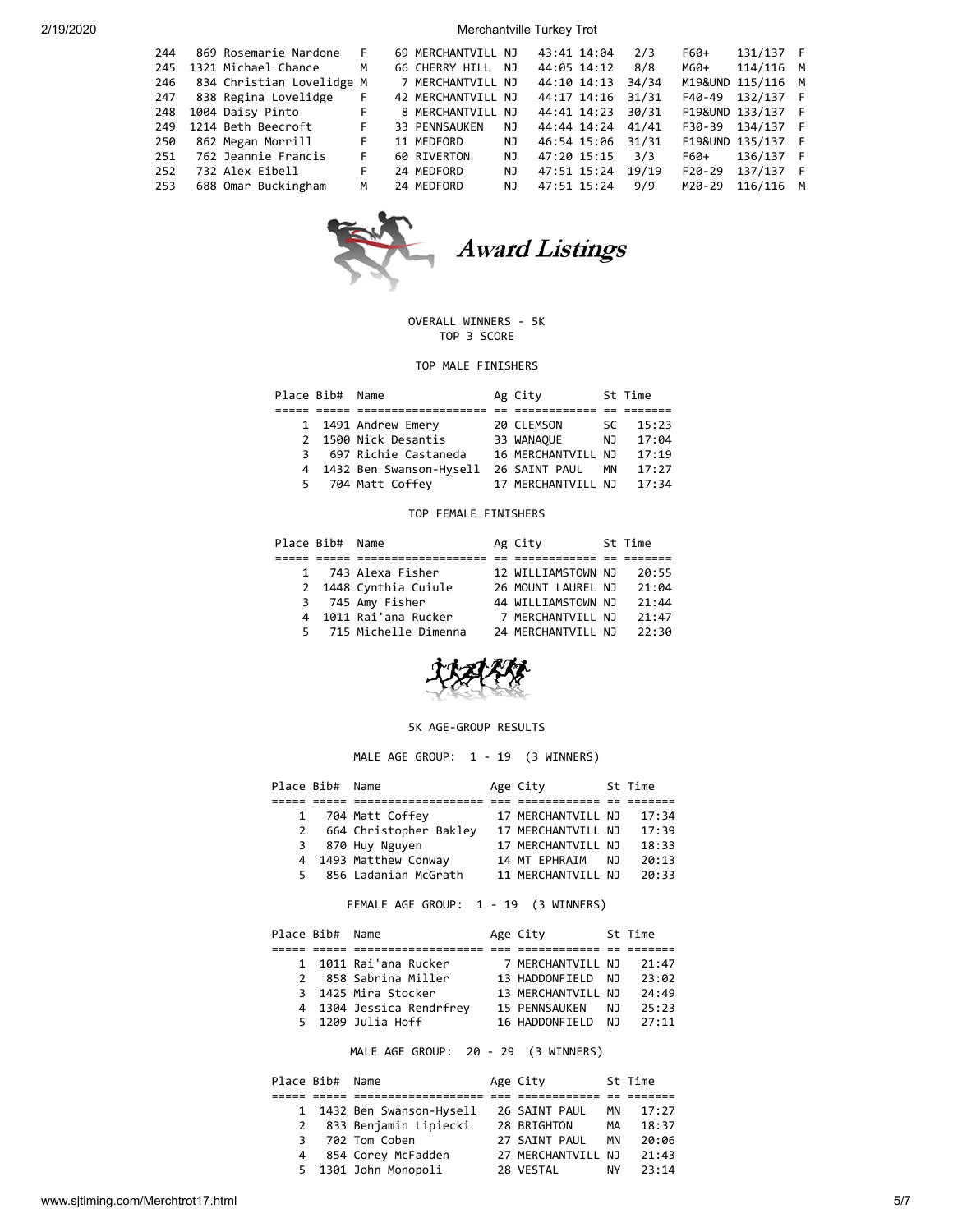| 244 | 869 Rosemarie Nardone     | – F | 69 MERCHANTVILL NJ |     | 43:41 14:04 |                   | 2/3   | F60+     | 131/137 F         |  |
|-----|---------------------------|-----|--------------------|-----|-------------|-------------------|-------|----------|-------------------|--|
| 245 | 1321 Michael Chance       | M   | 66 CHERRY HILL     | NJ. | 44:05 14:12 |                   | 8/8   | M60+     | 114/116 M         |  |
| 246 | 834 Christian Lovelidge M |     | 7 MERCHANTVILL NJ  |     |             | 44:10 14:13       | 34/34 |          | M19&UND 115/116 M |  |
| 247 | 838 Regina Lovelidge      | F.  | 42 MERCHANTVILL NJ |     |             | 44:17 14:16       | 31/31 | F40-49   | 132/137 F         |  |
| 248 | 1004 Daisy Pinto          | F.  | 8 MERCHANTVILL NJ  |     |             | 44:41 14:23       | 30/31 |          | F19&UND 133/137 F |  |
| 249 | 1214 Beth Beecroft        | F   | 33 PENNSAUKEN      | NJ. |             | 44:44 14:24 41/41 |       |          | F30-39 134/137 F  |  |
| 250 | 862 Megan Morrill         | F.  | 11 MEDFORD         | NJ. |             | 46:54 15:06       | 31/31 |          | F19&UND 135/137 F |  |
| 251 | 762 Jeannie Francis       | F   | 60 RIVERTON        | NJ. | 47:20 15:15 |                   | 3/3   | F60+     | 136/137 F         |  |
| 252 | 732 Alex Eibell           | F.  | 24 MEDFORD         | NJ. |             | 47:51 15:24       | 19/19 | $F20-29$ | 137/137 F         |  |
| 253 | 688 Omar Buckingham       | M   | 24 MEDFORD         | NJ. |             | 47:51 15:24       | 9/9   | M20-29   | 116/116 M         |  |
|     |                           |     |                    |     |             |                   |       |          |                   |  |



#### OVERALL WINNERS - 5K TOP 3 SCORE

#### TOP MALE FINISHERS

|   | Place Bib# Name |                           | Ag City            |     | St Time |
|---|-----------------|---------------------------|--------------------|-----|---------|
|   |                 |                           |                    |     |         |
|   |                 | 1 1491 Andrew Emery       | 20 CLEMSON         | SC. | 15:23   |
|   |                 | 2 1500 Nick Desantis      | 33 WANAQUE         | NJ  | 17:04   |
| 3 |                 | 697 Richie Castaneda      | 16 MERCHANTVILL NJ |     | 17:19   |
|   |                 | 4 1432 Ben Swanson-Hysell | 26 SAINT PAUL      | ΜN  | 17:27   |
|   |                 | 5 704 Matt Coffey         | 17 MERCHANTVILL NJ |     | 17:34   |

#### TOP FEMALE FINISHERS

| Place Bib# Name |                       | Ag City            | St Time |
|-----------------|-----------------------|--------------------|---------|
|                 |                       |                    |         |
| $1 \quad$       | 743 Alexa Fisher      | 12 WILLIAMSTOWN NJ | 20:55   |
|                 | 2 1448 Cynthia Cuiule | 26 MOUNT LAUREL NJ | 21:04   |
|                 | 3 745 Amy Fisher      | 44 WILLIAMSTOWN NJ | 21:44   |
|                 | 4 1011 Rai'ana Rucker | 7 MERCHANTVILL NJ  | 21:47   |
|                 | 715 Michelle Dimenna  | 24 MERCHANTVILL NJ | 22:30   |



#### 5K AGE-GROUP RESULTS

MALE AGE GROUP: 1 - 19 (3 WINNERS)

|              | Place Bib# Name |                        | Age City           |     | St Time |
|--------------|-----------------|------------------------|--------------------|-----|---------|
|              |                 |                        |                    |     |         |
| $\mathbf{1}$ |                 | 704 Matt Coffey        | 17 MERCHANTVILL NJ |     | 17:34   |
| 2            |                 | 664 Christopher Bakley | 17 MERCHANTVILL NJ |     | 17:39   |
| 3            |                 | 870 Huy Nguyen         | 17 MERCHANTVILL NJ |     | 18:33   |
|              |                 | 4 1493 Matthew Conway  | 14 MT EPHRAIM      | NJ. | 20:13   |
| 5.           |                 | 856 Ladanian McGrath   | 11 MERCHANTVILL NJ |     | 20:33   |

### FEMALE AGE GROUP: 1 - 19 (3 WINNERS)

|               | Place Bib# Name |                          | Age City             |     | St Time |
|---------------|-----------------|--------------------------|----------------------|-----|---------|
|               |                 |                          |                      |     |         |
|               |                 | 1 1011 Rai'ana Rucker    | 7 MERCHANTVILL NJ    |     | 21:47   |
| $\mathcal{P}$ |                 | 858 Sabrina Miller       | 13 HADDONFIELD       | NJ  | 23:02   |
|               |                 | 3 1425 Mira Stocker      | 13 MERCHANTVILL NJ   |     | 24:49   |
|               |                 | 4 1304 Jessica Rendrfrey | <b>15 PENNSAUKEN</b> | N J | 25:23   |
|               |                 | 5 1209 Julia Hoff        | 16 HADDONFIELD       | N J | 27:11   |
|               |                 |                          |                      |     |         |

MALE AGE GROUP: 20 - 29 (3 WINNERS)

|   | Place Bib# Name |                           | Age City           |    | St Time |
|---|-----------------|---------------------------|--------------------|----|---------|
|   |                 |                           |                    |    |         |
|   |                 | 1 1432 Ben Swanson-Hysell | 26 SAINT PAUL      | ΜN | 17:27   |
|   |                 | 2 833 Benjamin Lipiecki   | 28 BRIGHTON        | MА | 18:37   |
| 3 |                 | 702 Tom Coben             | 27 SAINT PAUL      | ΜN | 20:06   |
| 4 |                 | 854 Corey McFadden        | 27 MERCHANTVILL NJ |    | 21:43   |
|   |                 | 5 1301 John Monopoli      | 28 VESTAL          | ΝY | 23:14   |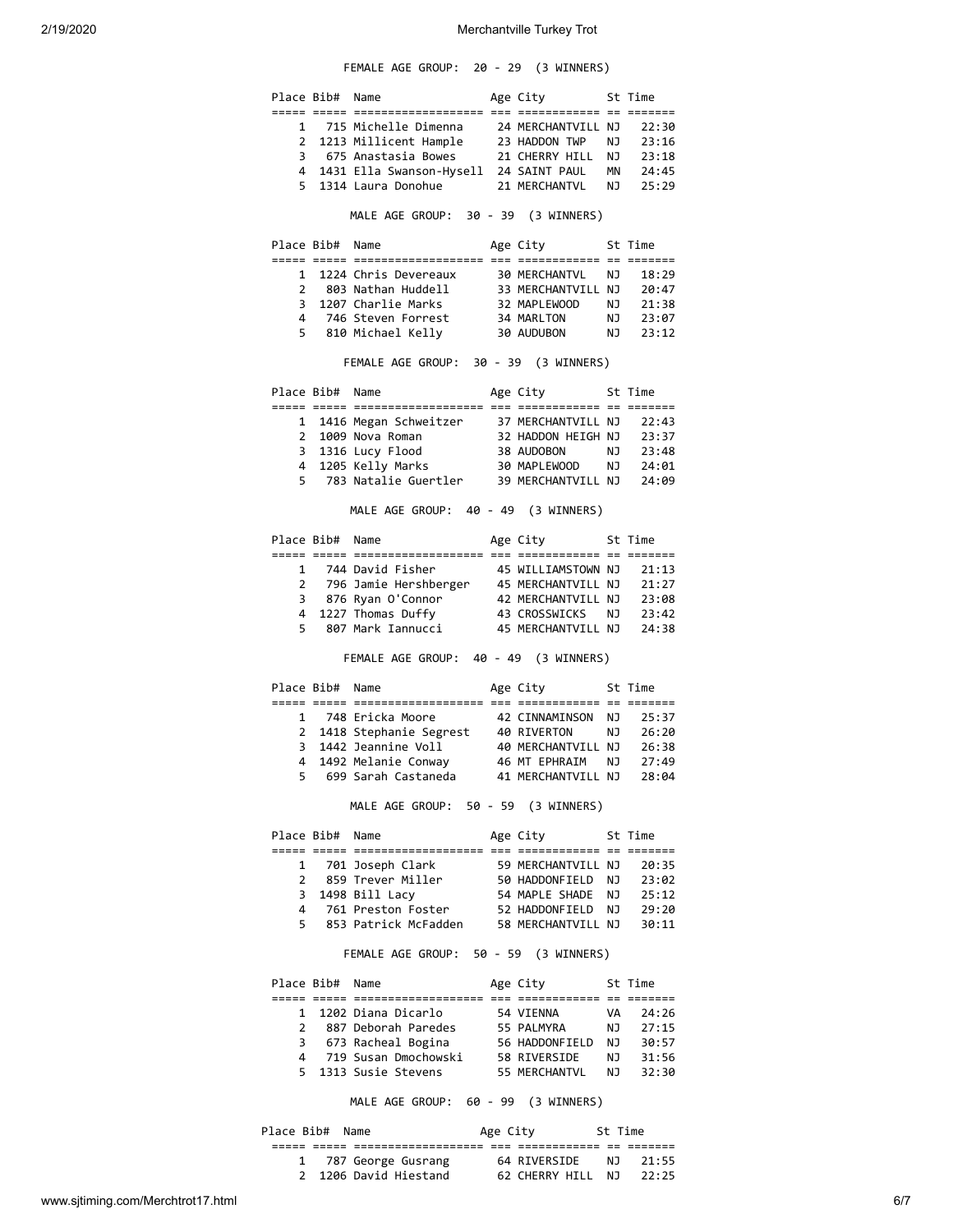# FEMALE AGE GROUP: 20 - 29 (3 WINNERS)

|              | Place Bib# Name |                                                                                                  | Age City 5t Time                                            |      |                      |
|--------------|-----------------|--------------------------------------------------------------------------------------------------|-------------------------------------------------------------|------|----------------------|
|              |                 |                                                                                                  |                                                             |      |                      |
|              |                 | 1 715 Michelle Dimenna     24 MERCHANTVILL NJ                                                    |                                                             |      | 22:30                |
| $\mathbf{2}$ |                 | 1213 Millicent Hample 23 HADDON TWP                                                              |                                                             | NJ 1 | 23:16                |
|              |                 | 3 675 Anastasia Bowes 21 CHERRY HILL NJ 23:18                                                    |                                                             |      |                      |
|              |                 | 4 1431 Ella Swanson-Hysell 24 SAINT PAUL MN 24:45<br>5 1314 Laura Donohue 21 MERCHANTVL NJ 25:29 |                                                             |      |                      |
|              |                 |                                                                                                  |                                                             |      |                      |
|              |                 | MALE AGE GROUP: 30 - 39 (3 WINNERS)                                                              |                                                             |      |                      |
|              | Place Bib# Name |                                                                                                  | Age City 5t Time                                            |      |                      |
| $\mathbf{1}$ |                 | 1224 Chris Devereaux                                                                             |                                                             |      |                      |
|              |                 | 2 803 Nathan Huddell                                                                             | 30 MERCHANTVL    NJ    18:29<br>33 MERCHANTVILL NJ    20:47 |      |                      |
| 3            |                 | 1207 Charlie Marks                                                                               | 32 MAPLEWOOD                                                |      |                      |
| 4            |                 | 746 Steven Forrest                                                                               | 34 MARLTON                                                  |      | NJ 21:38<br>NJ 23:07 |
|              |                 | 5 810 Michael Kelly 30 AUDUBON NJ 23:12                                                          |                                                             |      |                      |
|              |                 |                                                                                                  |                                                             |      |                      |
|              |                 | FEMALE AGE GROUP: 30 - 39 (3 WINNERS)                                                            |                                                             |      |                      |
|              | Place Bib# Name |                                                                                                  | Age City 5t Time                                            |      |                      |
|              |                 |                                                                                                  |                                                             |      |                      |
|              |                 | 1 1416 Megan Schweitzer 37 MERCHANTVILL NJ 22:43<br>2 1009 Nova Roman 32 HADDON HEIGH NJ 23:37   |                                                             |      |                      |
|              |                 |                                                                                                  |                                                             |      |                      |
|              |                 |                                                                                                  |                                                             |      |                      |
|              |                 | 5 783 Natalie Guertler 39 MERCHANTVILL NJ 24:09                                                  |                                                             |      |                      |
|              |                 |                                                                                                  |                                                             |      |                      |
|              |                 | MALE AGE GROUP: 40 - 49 (3 WINNERS)                                                              |                                                             |      |                      |
|              | Place Bib# Name |                                                                                                  | Age City 5t Time                                            |      |                      |
|              |                 |                                                                                                  |                                                             |      |                      |
|              |                 | 1 744 David Fisher                                                                               | 45 WILLIAMSTOWN NJ                                          |      | 21:13                |
|              |                 | 2 796 Jamie Hershberger 45 MERCHANTVILL NJ 21:27                                                 |                                                             |      |                      |
|              |                 | 3 876 Ryan O'Connor 42 MERCHANTVILL NJ 23:08<br>4 1227 Thomas Duffy 43 CROSSWICKS NJ 23:42       |                                                             |      |                      |
|              |                 | 5 807 Mark Iannucci                                                                              | 45 MERCHANTVILL NJ 24:38                                    |      |                      |
|              |                 |                                                                                                  |                                                             |      |                      |
|              |                 | FEMALE AGE GROUP: 40 - 49 (3 WINNERS)                                                            |                                                             |      |                      |
|              | Place Bib# Name |                                                                                                  | Age City 5t Time                                            |      |                      |
|              |                 | 1 748 Ericka Moore                                                                               | 42 CINNAMINSON NJ 25:37                                     |      |                      |
|              |                 | 2 1418 Stephanie Segrest 40 RIVERTON                                                             |                                                             |      |                      |
|              |                 | 3 1442 Jeannine Voll                                                                             | 40 RIVERTON       NJ    26:20<br>40 MERCHANTVILL NJ   26:38 |      |                      |
| 4            |                 | 1492 Melanie Conway                                                                              | 46 MT EPHRAIM NJ 27:49                                      |      |                      |
| 5            |                 | 699 Sarah Castaneda                                                                              | 41 MERCHANTVILL NJ                                          |      | 28:04                |
|              |                 | MALE AGE GROUP: 50 - 59 (3 WINNERS)                                                              |                                                             |      |                      |
|              | Place Bib# Name |                                                                                                  | Age City 5t Time                                            |      |                      |
|              |                 |                                                                                                  |                                                             |      |                      |
|              |                 | 1 701 Joseph Clark                                                                               | 59 MERCHANTVILL NJ 20:35                                    |      |                      |
| $\mathbf{2}$ |                 | 859 Trever Miller                                                                                | 50 HADDONFIELD  NJ   23:02<br>54 MAPLE SHADE  NJ   25:12    |      |                      |
|              |                 | 3 1498 Bill Lacy                                                                                 |                                                             |      |                      |
|              |                 | 4 761 Preston Foster                                                                             | 52 HADDONFIELD NJ 29:20                                     |      |                      |
| 5            |                 | 853 Patrick McFadden 58 MERCHANTVILL NJ 30:11                                                    |                                                             |      |                      |
|              |                 | FEMALE AGE GROUP: 50 - 59 (3 WINNERS)                                                            |                                                             |      |                      |
|              | Place Bib# Name |                                                                                                  | Age City 5t Time                                            |      |                      |
|              |                 |                                                                                                  |                                                             |      |                      |
|              |                 | 1 1202 Diana Dicarlo<br>2 887 Deborah Paredes                                                    | 54 VIENNA                                                   |      | VA 24:26             |
|              |                 |                                                                                                  | 55 PALMYRA<br>56 HADDONFIELD NJ 30:57                       |      | NJ 27:15             |
|              |                 | 3 673 Racheal Bogina                                                                             |                                                             |      |                      |

MALE AGE GROUP: 60 - 99 (3 WINNERS)

 4 719 Susan Dmochowski 58 RIVERSIDE NJ 31:56 5 1313 Susie Stevens 55 MERCHANTVL NJ 32:30

| Place Bib# Name       | Age City |                   | St Time |       |
|-----------------------|----------|-------------------|---------|-------|
|                       |          |                   |         |       |
| 1 787 George Gusrang  |          | 64 RIVERSIDE      | N T     | 21:55 |
| 2 1206 David Hiestand |          | 62 CHERRY HILL NJ |         | 22:25 |